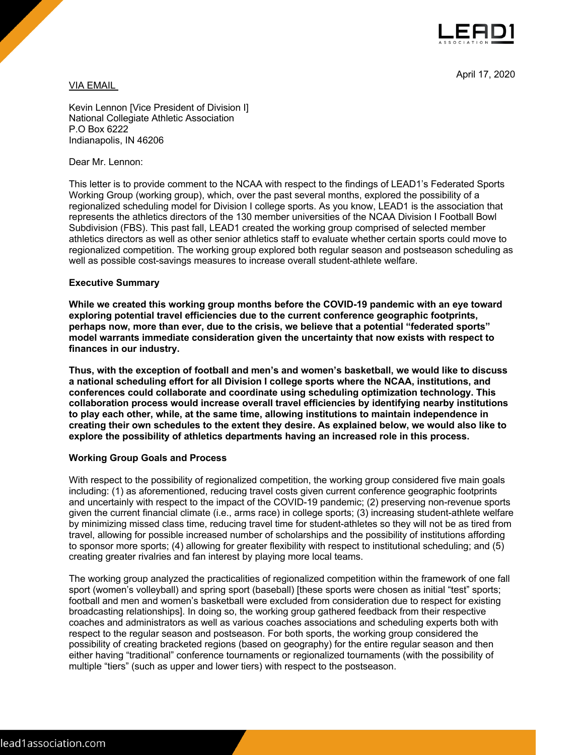

April 17, 2020

VIA EMAIL

Kevin Lennon [Vice President of Division I] National Collegiate Athletic Association P.O Box 6222 Indianapolis, IN 46206

Dear Mr. Lennon:

This letter is to provide comment to the NCAA with respect to the findings of LEAD1's Federated Sports Working Group (working group), which, over the past several months, explored the possibility of a regionalized scheduling model for Division I college sports. As you know, LEAD1 is the association that represents the athletics directors of the 130 member universities of the NCAA Division I Football Bowl Subdivision (FBS). This past fall, LEAD1 created the working group comprised of selected member athletics directors as well as other senior athletics staff to evaluate whether certain sports could move to regionalized competition. The working group explored both regular season and postseason scheduling as well as possible cost-savings measures to increase overall student-athlete welfare.

## **Executive Summary**

**While we created this working group months before the COVID-19 pandemic with an eye toward exploring potential travel efficiencies due to the current conference geographic footprints, perhaps now, more than ever, due to the crisis, we believe that a potential "federated sports" model warrants immediate consideration given the uncertainty that now exists with respect to finances in our industry.** 

**Thus, with the exception of football and men's and women's basketball, we would like to discuss a national scheduling effort for all Division I college sports where the NCAA, institutions, and conferences could collaborate and coordinate using scheduling optimization technology. This collaboration process would increase overall travel efficiencies by identifying nearby institutions to play each other, while, at the same time, allowing institutions to maintain independence in creating their own schedules to the extent they desire. As explained below, we would also like to explore the possibility of athletics departments having an increased role in this process.**

## **Working Group Goals and Process**

With respect to the possibility of regionalized competition, the working group considered five main goals including: (1) as aforementioned, reducing travel costs given current conference geographic footprints and uncertainly with respect to the impact of the COVID-19 pandemic; (2) preserving non-revenue sports given the current financial climate (i.e., arms race) in college sports; (3) increasing student-athlete welfare by minimizing missed class time, reducing travel time for student-athletes so they will not be as tired from travel, allowing for possible increased number of scholarships and the possibility of institutions affording to sponsor more sports; (4) allowing for greater flexibility with respect to institutional scheduling; and (5) creating greater rivalries and fan interest by playing more local teams.

The working group analyzed the practicalities of regionalized competition within the framework of one fall sport (women's volleyball) and spring sport (baseball) [these sports were chosen as initial "test" sports; football and men and women's basketball were excluded from consideration due to respect for existing broadcasting relationships]. In doing so, the working group gathered feedback from their respective coaches and administrators as well as various coaches associations and scheduling experts both with respect to the regular season and postseason. For both sports, the working group considered the possibility of creating bracketed regions (based on geography) for the entire regular season and then either having "traditional" conference tournaments or regionalized tournaments (with the possibility of multiple "tiers" (such as upper and lower tiers) with respect to the postseason.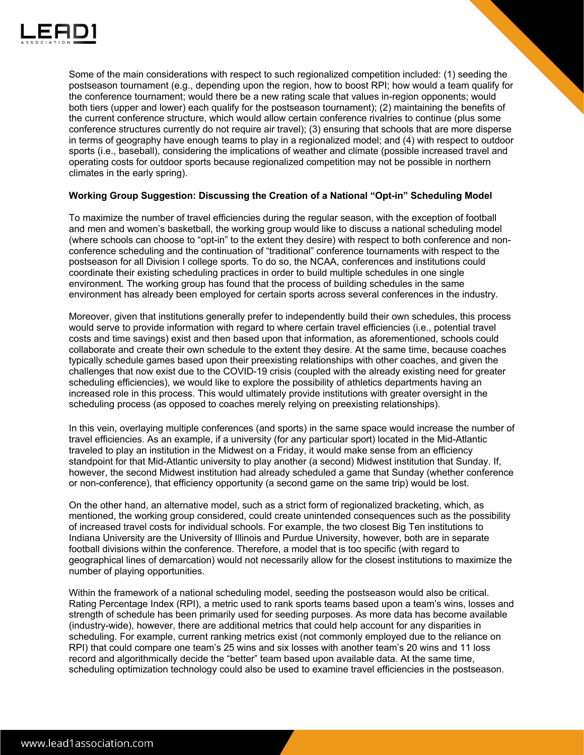

Some of the main considerations with respect to such regionalized competition included: (1) seeding the postseason tournament (e.g., depending upon the region, how to boost RPI; how would a team qualify for the conference tournament; would there be a new rating scale that values in-region opponents; would both tiers (upper and lower) each qualify for the postseason tournament); (2) maintaining the benefits of the current conference structure, which would allow certain conference rivalries to continue (plus some conference structures currently do not require air travel); (3) ensuring that schools that are more disperse in terms of geography have enough teams to play in a regionalized model; and (4) with respect to outdoor sports (i.e., baseball), considering the implications of weather and climate (possible increased travel and operating costs for outdoor sports because regionalized competition may not be possible in northern climates in the early spring).

## **Working Group Suggestion: Discussing the Creation of a National "Opt-in" Scheduling Model**

To maximize the number of travel efficiencies during the regular season, with the exception of football and men and women's basketball, the working group would like to discuss a national scheduling model (where schools can choose to "opt-in" to the extent they desire) with respect to both conference and nonconference scheduling and the continuation of "traditional" conference tournaments with respect to the postseason for all Division I college sports. To do so, the NCAA, conferences and institutions could coordinate their existing scheduling practices in order to build multiple schedules in one single environment. The working group has found that the process of building schedules in the same environment has already been employed for certain sports across several conferences in the industry.

Moreover, given that institutions generally prefer to independently build their own schedules, this process would serve to provide information with regard to where certain travel efficiencies (i.e., potential travel costs and time savings) exist and then based upon that information, as aforementioned, schools could collaborate and create their own schedule to the extent they desire. At the same time, because coaches typically schedule games based upon their preexisting relationships with other coaches, and given the challenges that now exist due to the COVID-19 crisis (coupled with the already existing need for greater scheduling efficiencies), we would like to explore the possibility of athletics departments having an increased role in this process. This would ultimately provide institutions with greater oversight in the scheduling process (as opposed to coaches merely relying on preexisting relationships).

In this vein, overlaying multiple conferences (and sports) in the same space would increase the number of travel efficiencies. As an example, if a university (for any particular sport) located in the Mid-Atlantic traveled to play an institution in the Midwest on a Friday, it would make sense from an efficiency standpoint for that Mid-Atlantic university to play another (a second) Midwest institution that Sunday. If, however, the second Midwest institution had already scheduled a game that Sunday (whether conference or non-conference), that efficiency opportunity (a second game on the same trip) would be lost.

On the other hand, an alternative model, such as a strict form of regionalized bracketing, which, as mentioned, the working group considered, could create unintended consequences such as the possibility of increased travel costs for individual schools. For example, the two closest Big Ten institutions to Indiana University are the University of Illinois and Purdue University, however, both are in separate football divisions within the conference. Therefore, a model that is too specific (with regard to geographical lines of demarcation) would not necessarily allow for the closest institutions to maximize the number of playing opportunities.

Within the framework of a national scheduling model, seeding the postseason would also be critical. Rating Percentage Index (RPI), a metric used to rank sports teams based upon a team's wins, losses and strength of schedule has been primarily used for seeding purposes. As more data has become available (industry-wide), however, there are additional metrics that could help account for any disparities in scheduling. For example, current ranking metrics exist (not commonly employed due to the reliance on RPI) that could compare one team's 25 wins and six losses with another team's 20 wins and 11 loss record and algorithmically decide the "better" team based upon available data. At the same time, scheduling optimization technology could also be used to examine travel efficiencies in the postseason.